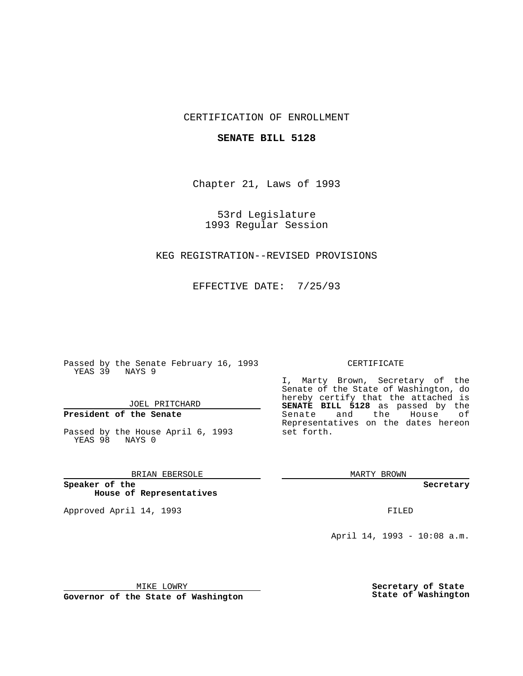### CERTIFICATION OF ENROLLMENT

#### **SENATE BILL 5128**

Chapter 21, Laws of 1993

53rd Legislature 1993 Regular Session

#### KEG REGISTRATION--REVISED PROVISIONS

EFFECTIVE DATE: 7/25/93

Passed by the Senate February 16, 1993 YEAS 39 NAYS 9

JOEL PRITCHARD

## **President of the Senate**

Passed by the House April 6, 1993 YEAS 98 NAYS 0

#### BRIAN EBERSOLE

**Speaker of the House of Representatives**

Approved April 14, 1993 **FILED** 

#### CERTIFICATE

I, Marty Brown, Secretary of the Senate of the State of Washington, do hereby certify that the attached is **SENATE BILL 5128** as passed by the Senate and the House of Representatives on the dates hereon set forth.

MARTY BROWN

**Secretary**

April 14, 1993 - 10:08 a.m.

MIKE LOWRY

**Governor of the State of Washington**

**Secretary of State State of Washington**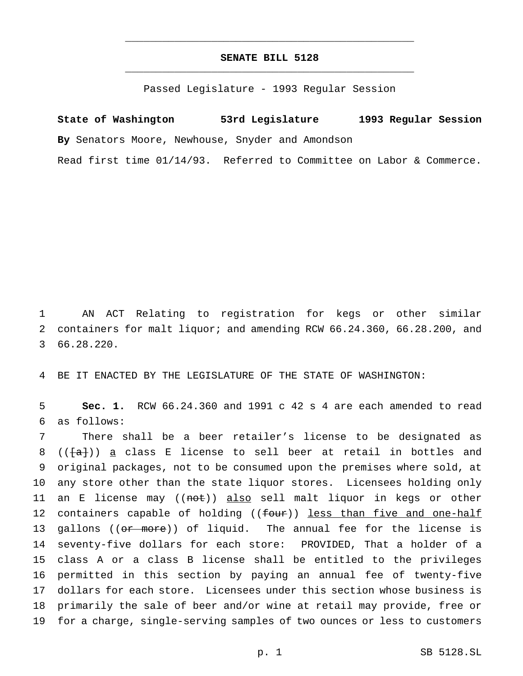## **SENATE BILL 5128** \_\_\_\_\_\_\_\_\_\_\_\_\_\_\_\_\_\_\_\_\_\_\_\_\_\_\_\_\_\_\_\_\_\_\_\_\_\_\_\_\_\_\_\_\_\_\_

\_\_\_\_\_\_\_\_\_\_\_\_\_\_\_\_\_\_\_\_\_\_\_\_\_\_\_\_\_\_\_\_\_\_\_\_\_\_\_\_\_\_\_\_\_\_\_

Passed Legislature - 1993 Regular Session

# **State of Washington 53rd Legislature 1993 Regular Session By** Senators Moore, Newhouse, Snyder and Amondson

Read first time 01/14/93. Referred to Committee on Labor & Commerce.

1 AN ACT Relating to registration for kegs or other similar 2 containers for malt liquor; and amending RCW 66.24.360, 66.28.200, and 3 66.28.220.

4 BE IT ENACTED BY THE LEGISLATURE OF THE STATE OF WASHINGTON:

5 **Sec. 1.** RCW 66.24.360 and 1991 c 42 s 4 are each amended to read 6 as follows:

 There shall be a beer retailer's license to be designated as 8 (( $\{a\}$ )) a class E license to sell beer at retail in bottles and original packages, not to be consumed upon the premises where sold, at any store other than the state liquor stores. Licensees holding only 11 an E license may ((not)) also sell malt liquor in kegs or other 12 containers capable of holding ((four)) less than five and one-half 13 gallons ((or more)) of liquid. The annual fee for the license is seventy-five dollars for each store: PROVIDED, That a holder of a class A or a class B license shall be entitled to the privileges permitted in this section by paying an annual fee of twenty-five dollars for each store. Licensees under this section whose business is primarily the sale of beer and/or wine at retail may provide, free or for a charge, single-serving samples of two ounces or less to customers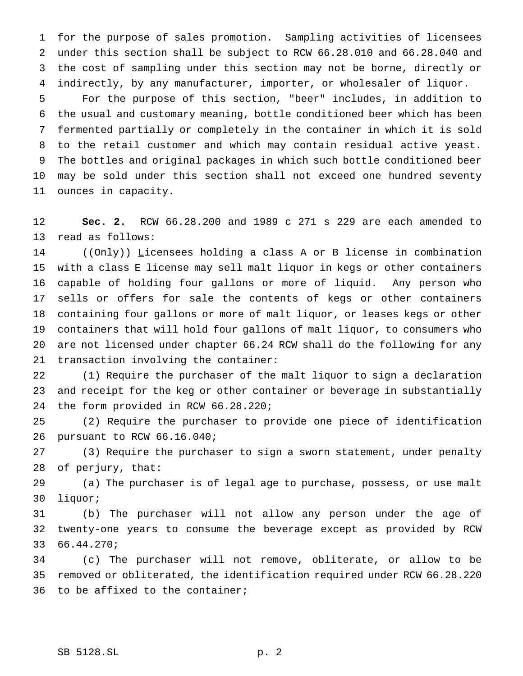for the purpose of sales promotion. Sampling activities of licensees under this section shall be subject to RCW 66.28.010 and 66.28.040 and the cost of sampling under this section may not be borne, directly or indirectly, by any manufacturer, importer, or wholesaler of liquor.

 For the purpose of this section, "beer" includes, in addition to the usual and customary meaning, bottle conditioned beer which has been fermented partially or completely in the container in which it is sold to the retail customer and which may contain residual active yeast. The bottles and original packages in which such bottle conditioned beer may be sold under this section shall not exceed one hundred seventy ounces in capacity.

 **Sec. 2.** RCW 66.28.200 and 1989 c 271 s 229 are each amended to read as follows:

 (( $\Theta$ nly)) Licensees holding a class A or B license in combination with a class E license may sell malt liquor in kegs or other containers capable of holding four gallons or more of liquid. Any person who sells or offers for sale the contents of kegs or other containers containing four gallons or more of malt liquor, or leases kegs or other containers that will hold four gallons of malt liquor, to consumers who are not licensed under chapter 66.24 RCW shall do the following for any transaction involving the container:

 (1) Require the purchaser of the malt liquor to sign a declaration and receipt for the keg or other container or beverage in substantially the form provided in RCW 66.28.220;

 (2) Require the purchaser to provide one piece of identification pursuant to RCW 66.16.040;

 (3) Require the purchaser to sign a sworn statement, under penalty of perjury, that:

 (a) The purchaser is of legal age to purchase, possess, or use malt liquor;

 (b) The purchaser will not allow any person under the age of twenty-one years to consume the beverage except as provided by RCW 66.44.270;

 (c) The purchaser will not remove, obliterate, or allow to be removed or obliterated, the identification required under RCW 66.28.220 to be affixed to the container;